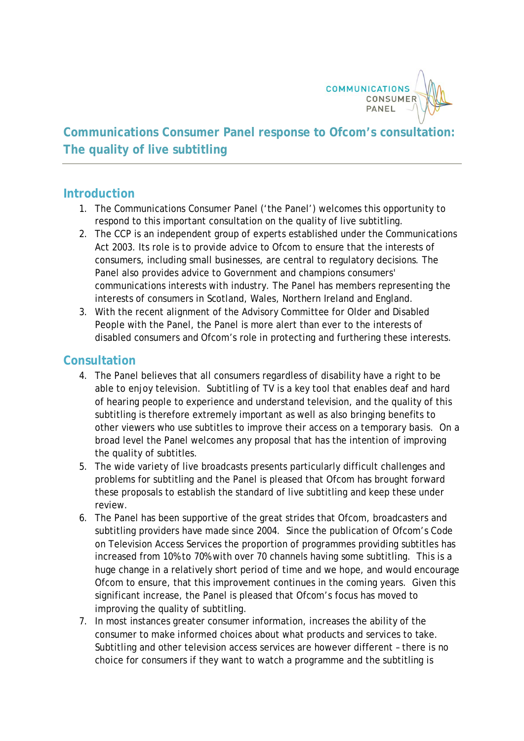

## **Communications Consumer Panel response to Ofcom's consultation: The quality of live subtitling**

## **Introduction**

- 1. The Communications Consumer Panel ('the Panel') welcomes this opportunity to respond to this important consultation on the quality of live subtitling.
- 2. The CCP is an independent group of experts established under the Communications Act 2003. Its role is to provide advice to Ofcom to ensure that the interests of consumers, including small businesses, are central to regulatory decisions. The Panel also provides advice to Government and champions consumers' communications interests with industry. The Panel has members representing the interests of consumers in Scotland, Wales, Northern Ireland and England.
- 3. With the recent alignment of the Advisory Committee for Older and Disabled People with the Panel, the Panel is more alert than ever to the interests of disabled consumers and Ofcom's role in protecting and furthering these interests.

## **Consultation**

- 4. The Panel believes that all consumers regardless of disability have a right to be able to enjoy television. Subtitling of TV is a key tool that enables deaf and hard of hearing people to experience and understand television, and the quality of this subtitling is therefore extremely important as well as also bringing benefits to other viewers who use subtitles to improve their access on a temporary basis. On a broad level the Panel welcomes any proposal that has the intention of improving the quality of subtitles.
- 5. The wide variety of live broadcasts presents particularly difficult challenges and problems for subtitling and the Panel is pleased that Ofcom has brought forward these proposals to establish the standard of live subtitling and keep these under review.
- 6. The Panel has been supportive of the great strides that Ofcom, broadcasters and subtitling providers have made since 2004. Since the publication of Ofcom's Code on Television Access Services the proportion of programmes providing subtitles has increased from 10% to 70% with over 70 channels having some subtitling. This is a huge change in a relatively short period of time and we hope, and would encourage Ofcom to ensure, that this improvement continues in the coming years. Given this significant increase, the Panel is pleased that Ofcom's focus has moved to improving the quality of subtitling.
- 7. In most instances greater consumer information, increases the ability of the consumer to make informed choices about what products and services to take. Subtitling and other television access services are however different – there is no choice for consumers if they want to watch a programme and the subtitling is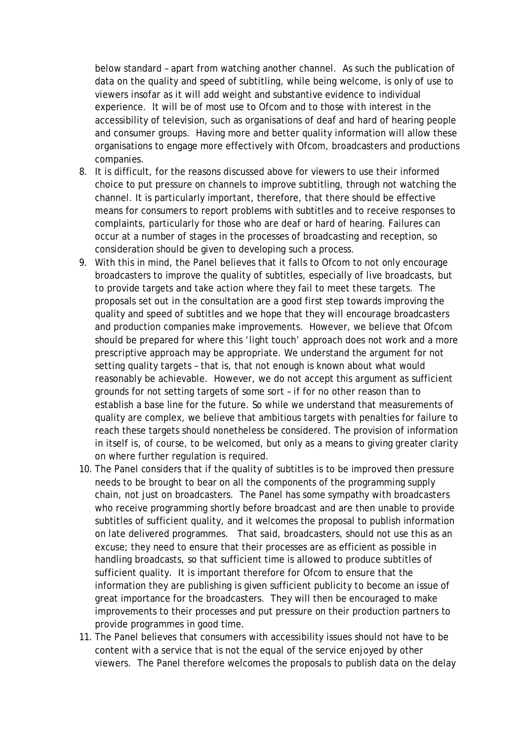below standard – apart from watching another channel. As such the publication of data on the quality and speed of subtitling, while being welcome, is only of use to viewers insofar as it will add weight and substantive evidence to individual experience. It will be of most use to Ofcom and to those with interest in the accessibility of television, such as organisations of deaf and hard of hearing people and consumer groups. Having more and better quality information will allow these organisations to engage more effectively with Ofcom, broadcasters and productions companies.

- 8. It is difficult, for the reasons discussed above for viewers to use their informed choice to put pressure on channels to improve subtitling, through not watching the channel. It is particularly important, therefore, that there should be effective means for consumers to report problems with subtitles and to receive responses to complaints, particularly for those who are deaf or hard of hearing. Failures can occur at a number of stages in the processes of broadcasting and reception, so consideration should be given to developing such a process.
- 9. With this in mind, the Panel believes that it falls to Ofcom to not only encourage broadcasters to improve the quality of subtitles, especially of live broadcasts, but to provide targets and take action where they fail to meet these targets. The proposals set out in the consultation are a good first step towards improving the quality and speed of subtitles and we hope that they will encourage broadcasters and production companies make improvements. However, we believe that Ofcom should be prepared for where this 'light touch' approach does not work and a more prescriptive approach may be appropriate. We understand the argument for not setting quality targets – that is, that not enough is known about what would reasonably be achievable. However, we do not accept this argument as sufficient grounds for not setting targets of some sort – if for no other reason than to establish a base line for the future. So while we understand that measurements of quality are complex, we believe that ambitious targets with penalties for failure to reach these targets should nonetheless be considered. The provision of information in itself is, of course, to be welcomed, but only as a means to giving greater clarity on where further regulation is required.
- 10. The Panel considers that if the quality of subtitles is to be improved then pressure needs to be brought to bear on all the components of the programming supply chain, not just on broadcasters. The Panel has some sympathy with broadcasters who receive programming shortly before broadcast and are then unable to provide subtitles of sufficient quality, and it welcomes the proposal to publish information on late delivered programmes. That said, broadcasters, should not use this as an excuse; they need to ensure that their processes are as efficient as possible in handling broadcasts, so that sufficient time is allowed to produce subtitles of sufficient quality. It is important therefore for Ofcom to ensure that the information they are publishing is given sufficient publicity to become an issue of great importance for the broadcasters. They will then be encouraged to make improvements to their processes and put pressure on their production partners to provide programmes in good time.
- 11. The Panel believes that consumers with accessibility issues should not have to be content with a service that is not the equal of the service enjoyed by other viewers. The Panel therefore welcomes the proposals to publish data on the delay